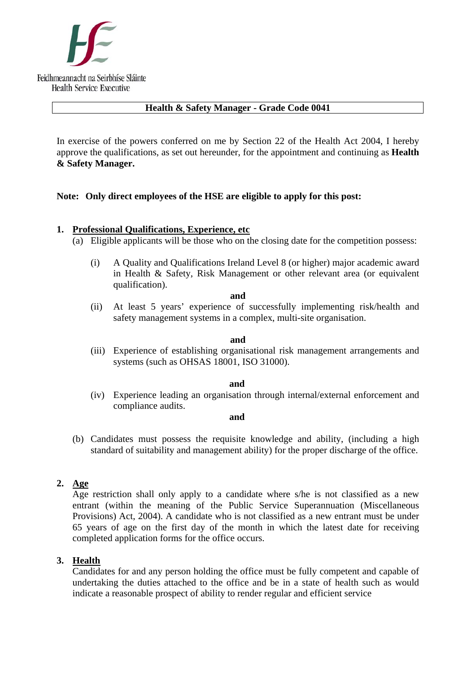

## **Health & Safety Manager - Grade Code 0041**

In exercise of the powers conferred on me by Section 22 of the Health Act 2004, I hereby approve the qualifications, as set out hereunder, for the appointment and continuing as **Health & Safety Manager.** 

## **Note: Only direct employees of the HSE are eligible to apply for this post:**

### **1. Professional Qualifications, Experience, etc**

- (a) Eligible applicants will be those who on the closing date for the competition possess:
	- (i) A Quality and Qualifications Ireland Level 8 (or higher) major academic award in Health & Safety, Risk Management or other relevant area (or equivalent qualification).

#### **and**

(ii) At least 5 years' experience of successfully implementing risk/health and safety management systems in a complex, multi-site organisation.

#### **and**

(iii) Experience of establishing organisational risk management arrangements and systems (such as OHSAS 18001, ISO 31000).

#### **and and**

(iv) Experience leading an organisation through internal/external enforcement and compliance audits.

#### **and and and**

(b) Candidates must possess the requisite knowledge and ability, (including a high standard of suitability and management ability) for the proper discharge of the office.

# **2. Age**

Age restriction shall only apply to a candidate where s/he is not classified as a new entrant (within the meaning of the Public Service Superannuation (Miscellaneous Provisions) Act, 2004). A candidate who is not classified as a new entrant must be under 65 years of age on the first day of the month in which the latest date for receiving completed application forms for the office occurs.

# **3. Health**

Candidates for and any person holding the office must be fully competent and capable of undertaking the duties attached to the office and be in a state of health such as would indicate a reasonable prospect of ability to render regular and efficient service